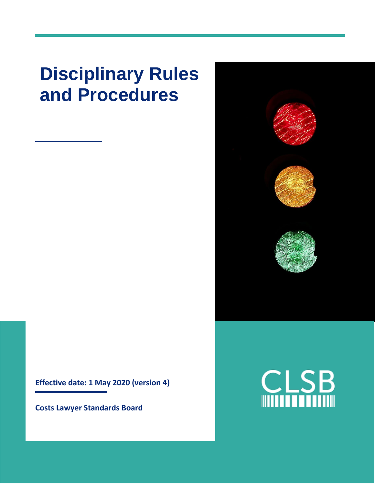# **Disciplinary Rules and Procedures**

**Effective date: 1 May 2020 (version 4)**

**Costs Lawyer Standards Board**

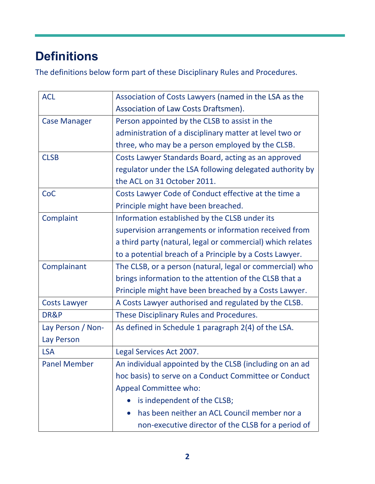# **Definitions**

The definitions below form part of these Disciplinary Rules and Procedures.

| <b>ACL</b>          | Association of Costs Lawyers (named in the LSA as the      |
|---------------------|------------------------------------------------------------|
|                     | Association of Law Costs Draftsmen).                       |
| <b>Case Manager</b> | Person appointed by the CLSB to assist in the              |
|                     | administration of a disciplinary matter at level two or    |
|                     | three, who may be a person employed by the CLSB.           |
| <b>CLSB</b>         | Costs Lawyer Standards Board, acting as an approved        |
|                     | regulator under the LSA following delegated authority by   |
|                     | the ACL on 31 October 2011.                                |
| CoC                 | Costs Lawyer Code of Conduct effective at the time a       |
|                     | Principle might have been breached.                        |
| Complaint           | Information established by the CLSB under its              |
|                     | supervision arrangements or information received from      |
|                     | a third party (natural, legal or commercial) which relates |
|                     | to a potential breach of a Principle by a Costs Lawyer.    |
| Complainant         | The CLSB, or a person (natural, legal or commercial) who   |
|                     | brings information to the attention of the CLSB that a     |
|                     | Principle might have been breached by a Costs Lawyer.      |
| <b>Costs Lawyer</b> | A Costs Lawyer authorised and regulated by the CLSB.       |
| DR&P                | These Disciplinary Rules and Procedures.                   |
| Lay Person / Non-   | As defined in Schedule 1 paragraph 2(4) of the LSA.        |
| Lay Person          |                                                            |
| <b>LSA</b>          | Legal Services Act 2007.                                   |
| <b>Panel Member</b> | An individual appointed by the CLSB (including on an ad    |
|                     | hoc basis) to serve on a Conduct Committee or Conduct      |
|                     | <b>Appeal Committee who:</b>                               |
|                     | is independent of the CLSB;                                |
|                     | has been neither an ACL Council member nor a               |
|                     | non-executive director of the CLSB for a period of         |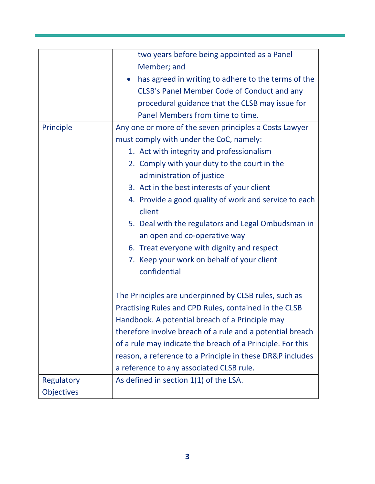|            | two years before being appointed as a Panel                      |
|------------|------------------------------------------------------------------|
|            | Member; and                                                      |
|            | has agreed in writing to adhere to the terms of the<br>$\bullet$ |
|            | CLSB's Panel Member Code of Conduct and any                      |
|            | procedural guidance that the CLSB may issue for                  |
|            | Panel Members from time to time.                                 |
| Principle  | Any one or more of the seven principles a Costs Lawyer           |
|            | must comply with under the CoC, namely:                          |
|            | 1. Act with integrity and professionalism                        |
|            | 2. Comply with your duty to the court in the                     |
|            | administration of justice                                        |
|            | 3. Act in the best interests of your client                      |
|            | 4. Provide a good quality of work and service to each            |
|            | client                                                           |
|            | 5. Deal with the regulators and Legal Ombudsman in               |
|            | an open and co-operative way                                     |
|            | 6. Treat everyone with dignity and respect                       |
|            | 7. Keep your work on behalf of your client                       |
|            | confidential                                                     |
|            |                                                                  |
|            | The Principles are underpinned by CLSB rules, such as            |
|            | Practising Rules and CPD Rules, contained in the CLSB            |
|            | Handbook. A potential breach of a Principle may                  |
|            | therefore involve breach of a rule and a potential breach        |
|            | of a rule may indicate the breach of a Principle. For this       |
|            | reason, a reference to a Principle in these DR&P includes        |
|            | a reference to any associated CLSB rule.                         |
| Regulatory | As defined in section 1(1) of the LSA.                           |
| Objectives |                                                                  |
|            |                                                                  |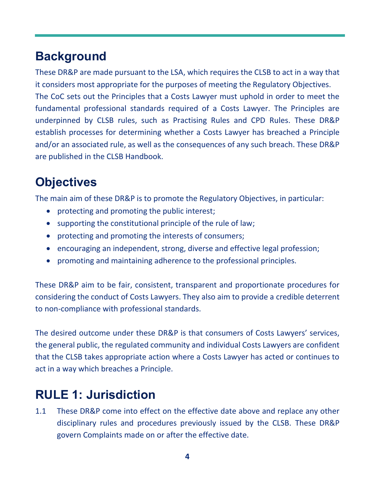### **Background**

These DR&P are made pursuant to the LSA, which requires the CLSB to act in a way that it considers most appropriate for the purposes of meeting the Regulatory Objectives. The CoC sets out the Principles that a Costs Lawyer must uphold in order to meet the fundamental professional standards required of a Costs Lawyer. The Principles are underpinned by CLSB rules, such as Practising Rules and CPD Rules. These DR&P establish processes for determining whether a Costs Lawyer has breached a Principle and/or an associated rule, as well as the consequences of any such breach. These DR&P are published in the CLSB Handbook.

# **Objectives**

The main aim of these DR&P is to promote the Regulatory Objectives, in particular:

- protecting and promoting the public interest;
- supporting the constitutional principle of the rule of law;
- protecting and promoting the interests of consumers;
- encouraging an independent, strong, diverse and effective legal profession;
- promoting and maintaining adherence to the professional principles.

These DR&P aim to be fair, consistent, transparent and proportionate procedures for considering the conduct of Costs Lawyers. They also aim to provide a credible deterrent to non-compliance with professional standards.

The desired outcome under these DR&P is that consumers of Costs Lawyers' services, the general public, the regulated community and individual Costs Lawyers are confident that the CLSB takes appropriate action where a Costs Lawyer has acted or continues to act in a way which breaches a Principle.

### **RULE 1: Jurisdiction**

1.1 These DR&P come into effect on the effective date above and replace any other disciplinary rules and procedures previously issued by the CLSB. These DR&P govern Complaints made on or after the effective date.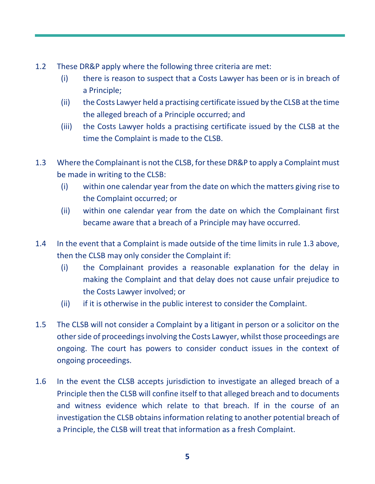- 1.2 These DR&P apply where the following three criteria are met:
	- (i) there is reason to suspect that a Costs Lawyer has been or is in breach of a Principle;
	- (ii) the Costs Lawyer held a practising certificate issued by the CLSB at the time the alleged breach of a Principle occurred; and
	- (iii) the Costs Lawyer holds a practising certificate issued by the CLSB at the time the Complaint is made to the CLSB.
- 1.3 Where the Complainant is not the CLSB, for these DR&P to apply a Complaint must be made in writing to the CLSB:
	- (i) within one calendar year from the date on which the matters giving rise to the Complaint occurred; or
	- (ii) within one calendar year from the date on which the Complainant first became aware that a breach of a Principle may have occurred.
- 1.4 In the event that a Complaint is made outside of the time limits in rule 1.3 above, then the CLSB may only consider the Complaint if:
	- (i) the Complainant provides a reasonable explanation for the delay in making the Complaint and that delay does not cause unfair prejudice to the Costs Lawyer involved; or
	- (ii) if it is otherwise in the public interest to consider the Complaint.
- 1.5 The CLSB will not consider a Complaint by a litigant in person or a solicitor on the other side of proceedings involving the Costs Lawyer, whilst those proceedings are ongoing. The court has powers to consider conduct issues in the context of ongoing proceedings.
- 1.6 In the event the CLSB accepts jurisdiction to investigate an alleged breach of a Principle then the CLSB will confine itself to that alleged breach and to documents and witness evidence which relate to that breach. If in the course of an investigation the CLSB obtains information relating to another potential breach of a Principle, the CLSB will treat that information as a fresh Complaint.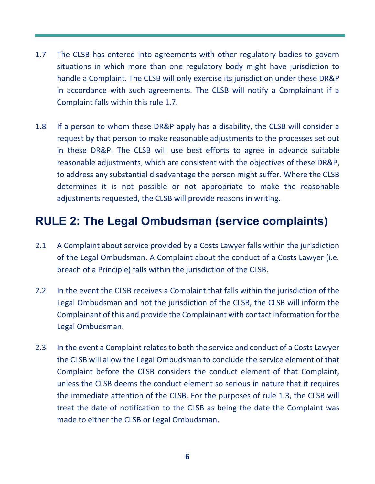- 1.7 The CLSB has entered into agreements with other regulatory bodies to govern situations in which more than one regulatory body might have jurisdiction to handle a Complaint. The CLSB will only exercise its jurisdiction under these DR&P in accordance with such agreements. The CLSB will notify a Complainant if a Complaint falls within this rule 1.7.
- 1.8 If a person to whom these DR&P apply has a disability, the CLSB will consider a request by that person to make reasonable adjustments to the processes set out in these DR&P. The CLSB will use best efforts to agree in advance suitable reasonable adjustments, which are consistent with the objectives of these DR&P, to address any substantial disadvantage the person might suffer. Where the CLSB determines it is not possible or not appropriate to make the reasonable adjustments requested, the CLSB will provide reasons in writing.

### **RULE 2: The Legal Ombudsman (service complaints)**

- 2.1 A Complaint about service provided by a Costs Lawyer falls within the jurisdiction of the Legal Ombudsman. A Complaint about the conduct of a Costs Lawyer (i.e. breach of a Principle) falls within the jurisdiction of the CLSB.
- 2.2 In the event the CLSB receives a Complaint that falls within the jurisdiction of the Legal Ombudsman and not the jurisdiction of the CLSB, the CLSB will inform the Complainant of this and provide the Complainant with contact information for the Legal Ombudsman.
- 2.3 In the event a Complaint relates to both the service and conduct of a Costs Lawyer the CLSB will allow the Legal Ombudsman to conclude the service element of that Complaint before the CLSB considers the conduct element of that Complaint, unless the CLSB deems the conduct element so serious in nature that it requires the immediate attention of the CLSB. For the purposes of rule 1.3, the CLSB will treat the date of notification to the CLSB as being the date the Complaint was made to either the CLSB or Legal Ombudsman.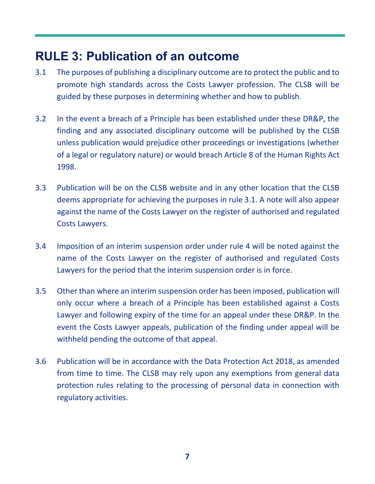### **RULE 3: Publication of an outcome**

- 3.1 The purposes of publishing a disciplinary outcome are to protect the public and to promote high standards across the Costs Lawyer profession. The CLSB will be guided by these purposes in determining whether and how to publish.
- 3.2 In the event a breach of a Principle has been established under these DR&P, the finding and any associated disciplinary outcome will be published by the CLSB unless publication would prejudice other proceedings or investigations (whether of a legal or regulatory nature) or would breach Article 8 of the Human Rights Act 1998.
- 3.3 Publication will be on the CLSB website and in any other location that the CLSB deems appropriate for achieving the purposes in rule 3.1. A note will also appear against the name of the Costs Lawyer on the register of authorised and regulated Costs Lawyers.
- 3.4 Imposition of an interim suspension order under rule 4 will be noted against the name of the Costs Lawyer on the register of authorised and regulated Costs Lawyers for the period that the interim suspension order is in force.
- 3.5 Other than where an interim suspension order has been imposed, publication will only occur where a breach of a Principle has been established against a Costs Lawyer and following expiry of the time for an appeal under these DR&P. In the event the Costs Lawyer appeals, publication of the finding under appeal will be withheld pending the outcome of that appeal.
- 3.6 Publication will be in accordance with the Data Protection Act 2018, as amended from time to time. The CLSB may rely upon any exemptions from general data protection rules relating to the processing of personal data in connection with regulatory activities.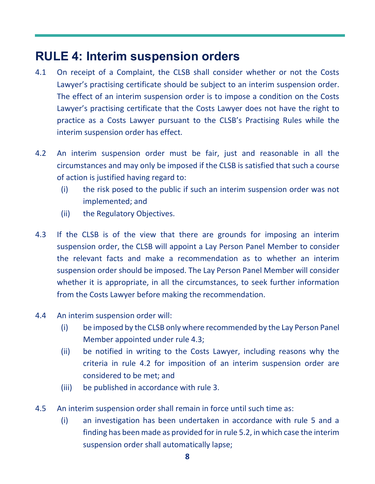### **RULE 4: Interim suspension orders**

- 4.1 On receipt of a Complaint, the CLSB shall consider whether or not the Costs Lawyer's practising certificate should be subject to an interim suspension order. The effect of an interim suspension order is to impose a condition on the Costs Lawyer's practising certificate that the Costs Lawyer does not have the right to practice as a Costs Lawyer pursuant to the CLSB's Practising Rules while the interim suspension order has effect.
- 4.2 An interim suspension order must be fair, just and reasonable in all the circumstances and may only be imposed if the CLSB is satisfied that such a course of action is justified having regard to:
	- (i) the risk posed to the public if such an interim suspension order was not implemented; and
	- (ii) the Regulatory Objectives.
- 4.3 If the CLSB is of the view that there are grounds for imposing an interim suspension order, the CLSB will appoint a Lay Person Panel Member to consider the relevant facts and make a recommendation as to whether an interim suspension order should be imposed. The Lay Person Panel Member will consider whether it is appropriate, in all the circumstances, to seek further information from the Costs Lawyer before making the recommendation.
- 4.4 An interim suspension order will:
	- (i) be imposed by the CLSB only where recommended by the Lay Person Panel Member appointed under rule 4.3;
	- (ii) be notified in writing to the Costs Lawyer, including reasons why the criteria in rule 4.2 for imposition of an interim suspension order are considered to be met; and
	- (iii) be published in accordance with rule 3.
- 4.5 An interim suspension order shall remain in force until such time as:
	- (i) an investigation has been undertaken in accordance with rule 5 and a finding has been made as provided for in rule 5.2, in which case the interim suspension order shall automatically lapse;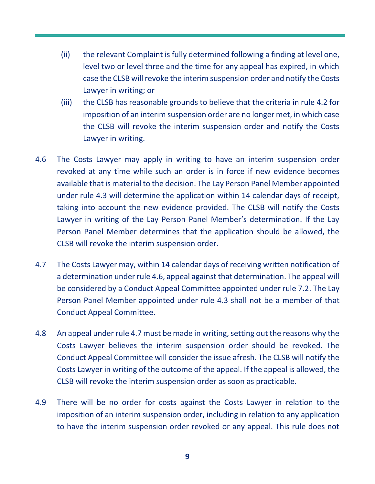- (ii) the relevant Complaint is fully determined following a finding at level one, level two or level three and the time for any appeal has expired, in which case the CLSB will revoke the interim suspension order and notify the Costs Lawyer in writing; or
- (iii) the CLSB has reasonable grounds to believe that the criteria in rule 4.2 for imposition of an interim suspension order are no longer met, in which case the CLSB will revoke the interim suspension order and notify the Costs Lawyer in writing.
- 4.6 The Costs Lawyer may apply in writing to have an interim suspension order revoked at any time while such an order is in force if new evidence becomes available that is material to the decision. The Lay Person Panel Member appointed under rule 4.3 will determine the application within 14 calendar days of receipt, taking into account the new evidence provided. The CLSB will notify the Costs Lawyer in writing of the Lay Person Panel Member's determination. If the Lay Person Panel Member determines that the application should be allowed, the CLSB will revoke the interim suspension order.
- 4.7 The Costs Lawyer may, within 14 calendar days of receiving written notification of a determination under rule 4.6, appeal against that determination. The appeal will be considered by a Conduct Appeal Committee appointed under rule 7.2. The Lay Person Panel Member appointed under rule 4.3 shall not be a member of that Conduct Appeal Committee.
- 4.8 An appeal under rule 4.7 must be made in writing, setting out the reasons why the Costs Lawyer believes the interim suspension order should be revoked. The Conduct Appeal Committee will consider the issue afresh. The CLSB will notify the Costs Lawyer in writing of the outcome of the appeal. If the appeal is allowed, the CLSB will revoke the interim suspension order as soon as practicable.
- 4.9 There will be no order for costs against the Costs Lawyer in relation to the imposition of an interim suspension order, including in relation to any application to have the interim suspension order revoked or any appeal. This rule does not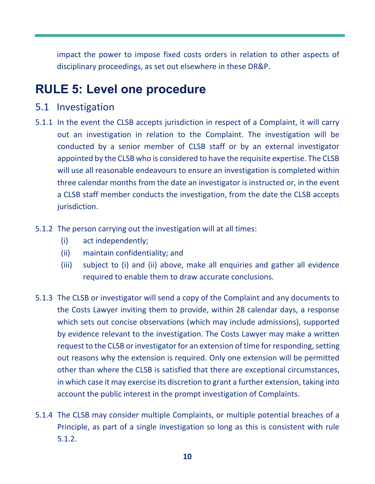impact the power to impose fixed costs orders in relation to other aspects of disciplinary proceedings, as set out elsewhere in these DR&P.

### **RULE 5: Level one procedure**

#### 5.1 Investigation

- 5.1.1 In the event the CLSB accepts jurisdiction in respect of a Complaint, it will carry out an investigation in relation to the Complaint. The investigation will be conducted by a senior member of CLSB staff or by an external investigator appointed by the CLSB who is considered to have the requisite expertise. The CLSB will use all reasonable endeavours to ensure an investigation is completed within three calendar months from the date an investigator is instructed or, in the event a CLSB staff member conducts the investigation, from the date the CLSB accepts jurisdiction.
- 5.1.2 The person carrying out the investigation will at all times:
	- (i) act independently;
	- (ii) maintain confidentiality; and
	- (iii) subject to (i) and (ii) above, make all enquiries and gather all evidence required to enable them to draw accurate conclusions.
- 5.1.3 The CLSB or investigator will send a copy of the Complaint and any documents to the Costs Lawyer inviting them to provide, within 28 calendar days, a response which sets out concise observations (which may include admissions), supported by evidence relevant to the investigation. The Costs Lawyer may make a written request to the CLSB or investigator for an extension of time for responding, setting out reasons why the extension is required. Only one extension will be permitted other than where the CLSB is satisfied that there are exceptional circumstances, in which case it may exercise its discretion to grant a further extension, taking into account the public interest in the prompt investigation of Complaints.
- 5.1.4 The CLSB may consider multiple Complaints, or multiple potential breaches of a Principle, as part of a single investigation so long as this is consistent with rule 5.1.2.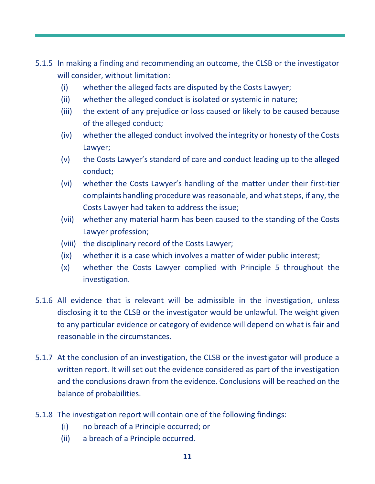- 5.1.5 In making a finding and recommending an outcome, the CLSB or the investigator will consider, without limitation:
	- (i) whether the alleged facts are disputed by the Costs Lawyer;
	- (ii) whether the alleged conduct is isolated or systemic in nature;
	- (iii) the extent of any prejudice or loss caused or likely to be caused because of the alleged conduct;
	- (iv) whether the alleged conduct involved the integrity or honesty of the Costs Lawyer;
	- (v) the Costs Lawyer's standard of care and conduct leading up to the alleged conduct;
	- (vi) whether the Costs Lawyer's handling of the matter under their first-tier complaints handling procedure was reasonable, and what steps, if any, the Costs Lawyer had taken to address the issue;
	- (vii) whether any material harm has been caused to the standing of the Costs Lawyer profession;
	- (viii) the disciplinary record of the Costs Lawyer;
	- (ix) whether it is a case which involves a matter of wider public interest;
	- (x) whether the Costs Lawyer complied with Principle 5 throughout the investigation.
- 5.1.6 All evidence that is relevant will be admissible in the investigation, unless disclosing it to the CLSB or the investigator would be unlawful. The weight given to any particular evidence or category of evidence will depend on what is fair and reasonable in the circumstances.
- 5.1.7 At the conclusion of an investigation, the CLSB or the investigator will produce a written report. It will set out the evidence considered as part of the investigation and the conclusions drawn from the evidence. Conclusions will be reached on the balance of probabilities.
- 5.1.8 The investigation report will contain one of the following findings:
	- (i) no breach of a Principle occurred; or
	- (ii) a breach of a Principle occurred.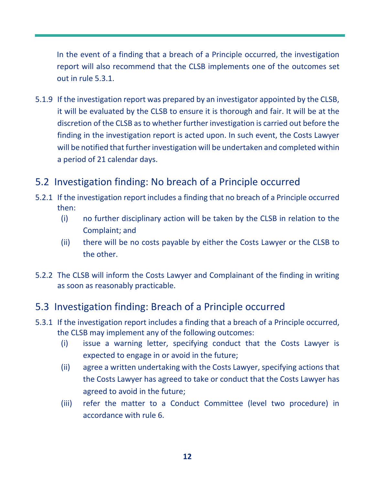In the event of a finding that a breach of a Principle occurred, the investigation report will also recommend that the CLSB implements one of the outcomes set out in rule 5.3.1.

5.1.9 If the investigation report was prepared by an investigator appointed by the CLSB, it will be evaluated by the CLSB to ensure it is thorough and fair. It will be at the discretion of the CLSB as to whether further investigation is carried out before the finding in the investigation report is acted upon. In such event, the Costs Lawyer will be notified that further investigation will be undertaken and completed within a period of 21 calendar days.

### 5.2 Investigation finding: No breach of a Principle occurred

- 5.2.1 If the investigation report includes a finding that no breach of a Principle occurred then:
	- (i) no further disciplinary action will be taken by the CLSB in relation to the Complaint; and
	- (ii) there will be no costs payable by either the Costs Lawyer or the CLSB to the other.
- 5.2.2 The CLSB will inform the Costs Lawyer and Complainant of the finding in writing as soon as reasonably practicable.

### 5.3 Investigation finding: Breach of a Principle occurred

- 5.3.1 If the investigation report includes a finding that a breach of a Principle occurred, the CLSB may implement any of the following outcomes:
	- (i) issue a warning letter, specifying conduct that the Costs Lawyer is expected to engage in or avoid in the future;
	- (ii) agree a written undertaking with the Costs Lawyer, specifying actions that the Costs Lawyer has agreed to take or conduct that the Costs Lawyer has agreed to avoid in the future;
	- (iii) refer the matter to a Conduct Committee (level two procedure) in accordance with rule 6.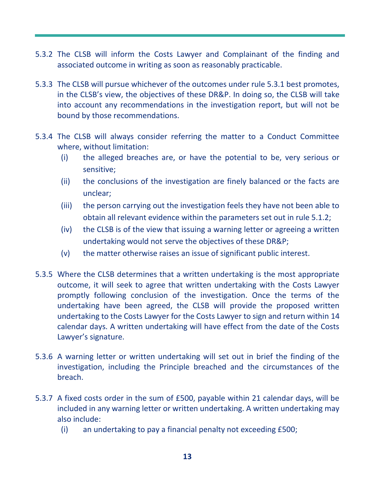- 5.3.2 The CLSB will inform the Costs Lawyer and Complainant of the finding and associated outcome in writing as soon as reasonably practicable.
- 5.3.3 The CLSB will pursue whichever of the outcomes under rule 5.3.1 best promotes, in the CLSB's view, the objectives of these DR&P. In doing so, the CLSB will take into account any recommendations in the investigation report, but will not be bound by those recommendations.
- 5.3.4 The CLSB will always consider referring the matter to a Conduct Committee where, without limitation:
	- (i) the alleged breaches are, or have the potential to be, very serious or sensitive;
	- (ii) the conclusions of the investigation are finely balanced or the facts are unclear;
	- (iii) the person carrying out the investigation feels they have not been able to obtain all relevant evidence within the parameters set out in rule 5.1.2;
	- (iv) the CLSB is of the view that issuing a warning letter or agreeing a written undertaking would not serve the objectives of these DR&P;
	- (v) the matter otherwise raises an issue of significant public interest.
- 5.3.5 Where the CLSB determines that a written undertaking is the most appropriate outcome, it will seek to agree that written undertaking with the Costs Lawyer promptly following conclusion of the investigation. Once the terms of the undertaking have been agreed, the CLSB will provide the proposed written undertaking to the Costs Lawyer for the Costs Lawyer to sign and return within 14 calendar days. A written undertaking will have effect from the date of the Costs Lawyer's signature.
- 5.3.6 A warning letter or written undertaking will set out in brief the finding of the investigation, including the Principle breached and the circumstances of the breach.
- 5.3.7 A fixed costs order in the sum of £500, payable within 21 calendar days, will be included in any warning letter or written undertaking. A written undertaking may also include:
	- (i) an undertaking to pay a financial penalty not exceeding £500;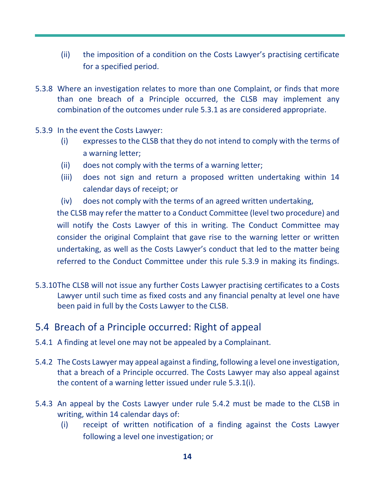- (ii) the imposition of a condition on the Costs Lawyer's practising certificate for a specified period.
- 5.3.8 Where an investigation relates to more than one Complaint, or finds that more than one breach of a Principle occurred, the CLSB may implement any combination of the outcomes under rule 5.3.1 as are considered appropriate.
- 5.3.9 In the event the Costs Lawyer:
	- (i) expresses to the CLSB that they do not intend to comply with the terms of a warning letter;
	- (ii) does not comply with the terms of a warning letter;
	- (iii) does not sign and return a proposed written undertaking within 14 calendar days of receipt; or
	- (iv) does not comply with the terms of an agreed written undertaking,

the CLSB may refer the matter to a Conduct Committee (level two procedure) and will notify the Costs Lawyer of this in writing. The Conduct Committee may consider the original Complaint that gave rise to the warning letter or written undertaking, as well as the Costs Lawyer's conduct that led to the matter being referred to the Conduct Committee under this rule 5.3.9 in making its findings.

5.3.10The CLSB will not issue any further Costs Lawyer practising certificates to a Costs Lawyer until such time as fixed costs and any financial penalty at level one have been paid in full by the Costs Lawyer to the CLSB.

#### 5.4 Breach of a Principle occurred: Right of appeal

- 5.4.1 A finding at level one may not be appealed by a Complainant.
- 5.4.2 The Costs Lawyer may appeal against a finding, following a level one investigation, that a breach of a Principle occurred. The Costs Lawyer may also appeal against the content of a warning letter issued under rule 5.3.1(i).
- 5.4.3 An appeal by the Costs Lawyer under rule 5.4.2 must be made to the CLSB in writing, within 14 calendar days of:
	- (i) receipt of written notification of a finding against the Costs Lawyer following a level one investigation; or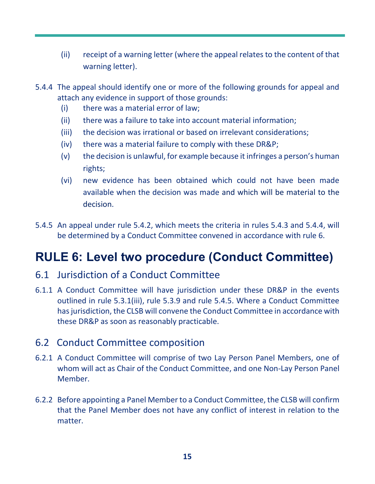- (ii) receipt of a warning letter (where the appeal relates to the content of that warning letter).
- 5.4.4 The appeal should identify one or more of the following grounds for appeal and attach any evidence in support of those grounds:
	- (i) there was a material error of law;
	- (ii) there was a failure to take into account material information;
	- (iii) the decision was irrational or based on irrelevant considerations;
	- (iv) there was a material failure to comply with these DR&P;
	- (v) the decision is unlawful, for example because it infringes a person's human rights;
	- (vi) new evidence has been obtained which could not have been made available when the decision was made and which will be material to the decision.
- 5.4.5 An appeal under rule 5.4.2, which meets the criteria in rules 5.4.3 and 5.4.4, will be determined by a Conduct Committee convened in accordance with rule 6.

### **RULE 6: Level two procedure (Conduct Committee)**

- 6.1 Jurisdiction of a Conduct Committee
- 6.1.1 A Conduct Committee will have jurisdiction under these DR&P in the events outlined in rule 5.3.1(iii), rule 5.3.9 and rule 5.4.5. Where a Conduct Committee has jurisdiction, the CLSB will convene the Conduct Committee in accordance with these DR&P as soon as reasonably practicable.

### 6.2 Conduct Committee composition

- 6.2.1 A Conduct Committee will comprise of two Lay Person Panel Members, one of whom will act as Chair of the Conduct Committee, and one Non-Lay Person Panel Member.
- 6.2.2 Before appointing a Panel Member to a Conduct Committee, the CLSB will confirm that the Panel Member does not have any conflict of interest in relation to the matter.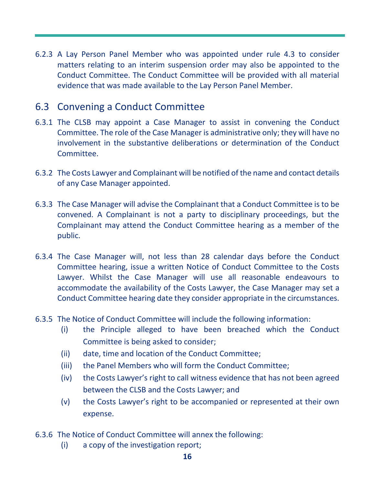6.2.3 A Lay Person Panel Member who was appointed under rule 4.3 to consider matters relating to an interim suspension order may also be appointed to the Conduct Committee. The Conduct Committee will be provided with all material evidence that was made available to the Lay Person Panel Member.

#### 6.3 Convening a Conduct Committee

- 6.3.1 The CLSB may appoint a Case Manager to assist in convening the Conduct Committee. The role of the Case Manager is administrative only; they will have no involvement in the substantive deliberations or determination of the Conduct Committee.
- 6.3.2 The Costs Lawyer and Complainant will be notified of the name and contact details of any Case Manager appointed.
- 6.3.3 The Case Manager will advise the Complainant that a Conduct Committee is to be convened. A Complainant is not a party to disciplinary proceedings, but the Complainant may attend the Conduct Committee hearing as a member of the public.
- 6.3.4 The Case Manager will, not less than 28 calendar days before the Conduct Committee hearing, issue a written Notice of Conduct Committee to the Costs Lawyer. Whilst the Case Manager will use all reasonable endeavours to accommodate the availability of the Costs Lawyer, the Case Manager may set a Conduct Committee hearing date they consider appropriate in the circumstances.
- 6.3.5 The Notice of Conduct Committee will include the following information:
	- (i) the Principle alleged to have been breached which the Conduct Committee is being asked to consider;
	- (ii) date, time and location of the Conduct Committee;
	- (iii) the Panel Members who will form the Conduct Committee;
	- (iv) the Costs Lawyer's right to call witness evidence that has not been agreed between the CLSB and the Costs Lawyer; and
	- (v) the Costs Lawyer's right to be accompanied or represented at their own expense.
- 6.3.6 The Notice of Conduct Committee will annex the following:
	- (i) a copy of the investigation report;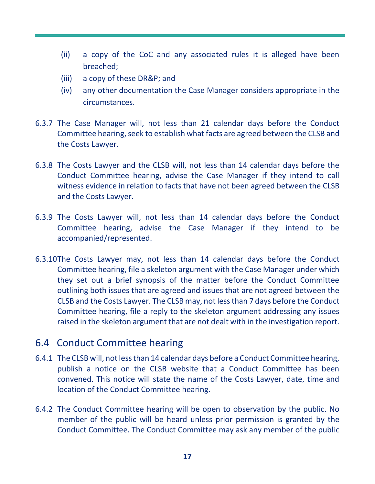- (ii) a copy of the CoC and any associated rules it is alleged have been breached;
- (iii) a copy of these DR&P; and
- (iv) any other documentation the Case Manager considers appropriate in the circumstances.
- 6.3.7 The Case Manager will, not less than 21 calendar days before the Conduct Committee hearing, seek to establish what facts are agreed between the CLSB and the Costs Lawyer.
- 6.3.8 The Costs Lawyer and the CLSB will, not less than 14 calendar days before the Conduct Committee hearing, advise the Case Manager if they intend to call witness evidence in relation to facts that have not been agreed between the CLSB and the Costs Lawyer.
- 6.3.9 The Costs Lawyer will, not less than 14 calendar days before the Conduct Committee hearing, advise the Case Manager if they intend to be accompanied/represented.
- 6.3.10The Costs Lawyer may, not less than 14 calendar days before the Conduct Committee hearing, file a skeleton argument with the Case Manager under which they set out a brief synopsis of the matter before the Conduct Committee outlining both issues that are agreed and issues that are not agreed between the CLSB and the Costs Lawyer. The CLSB may, not less than 7 days before the Conduct Committee hearing, file a reply to the skeleton argument addressing any issues raised in the skeleton argument that are not dealt with in the investigation report.

### 6.4 Conduct Committee hearing

- 6.4.1 The CLSB will, not less than 14 calendar days before a Conduct Committee hearing, publish a notice on the CLSB website that a Conduct Committee has been convened. This notice will state the name of the Costs Lawyer, date, time and location of the Conduct Committee hearing.
- 6.4.2 The Conduct Committee hearing will be open to observation by the public. No member of the public will be heard unless prior permission is granted by the Conduct Committee. The Conduct Committee may ask any member of the public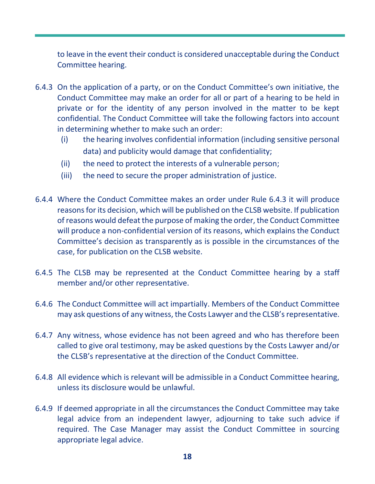to leave in the event their conduct is considered unacceptable during the Conduct Committee hearing.

- 6.4.3 On the application of a party, or on the Conduct Committee's own initiative, the Conduct Committee may make an order for all or part of a hearing to be held in private or for the identity of any person involved in the matter to be kept confidential. The Conduct Committee will take the following factors into account in determining whether to make such an order:
	- (i) the hearing involves confidential information (including sensitive personal data) and publicity would damage that confidentiality;
	- (ii) the need to protect the interests of a vulnerable person;
	- (iii) the need to secure the proper administration of justice.
- 6.4.4 Where the Conduct Committee makes an order under Rule 6.4.3 it will produce reasons for its decision, which will be published on the CLSB website. If publication of reasons would defeat the purpose of making the order, the Conduct Committee will produce a non-confidential version of its reasons, which explains the Conduct Committee's decision as transparently as is possible in the circumstances of the case, for publication on the CLSB website.
- 6.4.5 The CLSB may be represented at the Conduct Committee hearing by a staff member and/or other representative.
- 6.4.6 The Conduct Committee will act impartially. Members of the Conduct Committee may ask questions of any witness, the Costs Lawyer and the CLSB's representative.
- 6.4.7 Any witness, whose evidence has not been agreed and who has therefore been called to give oral testimony, may be asked questions by the Costs Lawyer and/or the CLSB's representative at the direction of the Conduct Committee.
- 6.4.8 All evidence which is relevant will be admissible in a Conduct Committee hearing, unless its disclosure would be unlawful.
- 6.4.9 If deemed appropriate in all the circumstances the Conduct Committee may take legal advice from an independent lawyer, adjourning to take such advice if required. The Case Manager may assist the Conduct Committee in sourcing appropriate legal advice.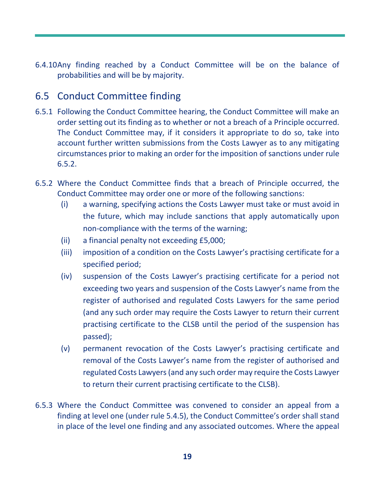6.4.10Any finding reached by a Conduct Committee will be on the balance of probabilities and will be by majority.

### 6.5 Conduct Committee finding

- 6.5.1 Following the Conduct Committee hearing, the Conduct Committee will make an order setting out its finding as to whether or not a breach of a Principle occurred. The Conduct Committee may, if it considers it appropriate to do so, take into account further written submissions from the Costs Lawyer as to any mitigating circumstances prior to making an order for the imposition of sanctions under rule 6.5.2.
- 6.5.2 Where the Conduct Committee finds that a breach of Principle occurred, the Conduct Committee may order one or more of the following sanctions:
	- (i) a warning, specifying actions the Costs Lawyer must take or must avoid in the future, which may include sanctions that apply automatically upon non-compliance with the terms of the warning;
	- (ii) a financial penalty not exceeding £5,000;
	- (iii) imposition of a condition on the Costs Lawyer's practising certificate for a specified period;
	- (iv) suspension of the Costs Lawyer's practising certificate for a period not exceeding two years and suspension of the Costs Lawyer's name from the register of authorised and regulated Costs Lawyers for the same period (and any such order may require the Costs Lawyer to return their current practising certificate to the CLSB until the period of the suspension has passed);
	- (v) permanent revocation of the Costs Lawyer's practising certificate and removal of the Costs Lawyer's name from the register of authorised and regulated Costs Lawyers (and any such order may require the Costs Lawyer to return their current practising certificate to the CLSB).
- 6.5.3 Where the Conduct Committee was convened to consider an appeal from a finding at level one (under rule 5.4.5), the Conduct Committee's order shall stand in place of the level one finding and any associated outcomes. Where the appeal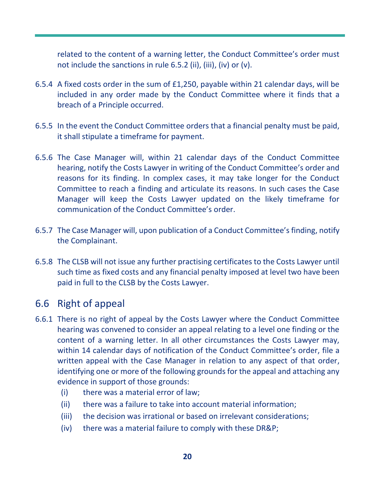related to the content of a warning letter, the Conduct Committee's order must not include the sanctions in rule 6.5.2 (ii), (iii), (iv) or (v).

- 6.5.4 A fixed costs order in the sum of £1,250, payable within 21 calendar days, will be included in any order made by the Conduct Committee where it finds that a breach of a Principle occurred.
- 6.5.5 In the event the Conduct Committee orders that a financial penalty must be paid, it shall stipulate a timeframe for payment.
- 6.5.6 The Case Manager will, within 21 calendar days of the Conduct Committee hearing, notify the Costs Lawyer in writing of the Conduct Committee's order and reasons for its finding. In complex cases, it may take longer for the Conduct Committee to reach a finding and articulate its reasons. In such cases the Case Manager will keep the Costs Lawyer updated on the likely timeframe for communication of the Conduct Committee's order.
- 6.5.7 The Case Manager will, upon publication of a Conduct Committee's finding, notify the Complainant.
- 6.5.8 The CLSB will not issue any further practising certificates to the Costs Lawyer until such time as fixed costs and any financial penalty imposed at level two have been paid in full to the CLSB by the Costs Lawyer.

#### 6.6 Right of appeal

- 6.6.1 There is no right of appeal by the Costs Lawyer where the Conduct Committee hearing was convened to consider an appeal relating to a level one finding or the content of a warning letter. In all other circumstances the Costs Lawyer may, within 14 calendar days of notification of the Conduct Committee's order, file a written appeal with the Case Manager in relation to any aspect of that order, identifying one or more of the following grounds for the appeal and attaching any evidence in support of those grounds:
	- (i) there was a material error of law;
	- (ii) there was a failure to take into account material information;
	- (iii) the decision was irrational or based on irrelevant considerations;
	- (iv) there was a material failure to comply with these DR&P;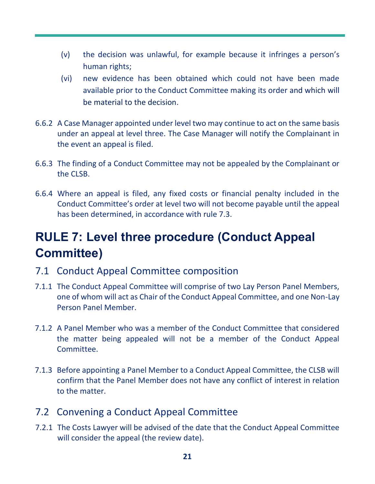- (v) the decision was unlawful, for example because it infringes a person's human rights;
- (vi) new evidence has been obtained which could not have been made available prior to the Conduct Committee making its order and which will be material to the decision.
- 6.6.2 A Case Manager appointed under level two may continue to act on the same basis under an appeal at level three. The Case Manager will notify the Complainant in the event an appeal is filed.
- 6.6.3 The finding of a Conduct Committee may not be appealed by the Complainant or the CLSB.
- 6.6.4 Where an appeal is filed, any fixed costs or financial penalty included in the Conduct Committee's order at level two will not become payable until the appeal has been determined, in accordance with rule 7.3.

# **RULE 7: Level three procedure (Conduct Appeal Committee)**

- 7.1 Conduct Appeal Committee composition
- 7.1.1 The Conduct Appeal Committee will comprise of two Lay Person Panel Members, one of whom will act as Chair of the Conduct Appeal Committee, and one Non-Lay Person Panel Member.
- 7.1.2 A Panel Member who was a member of the Conduct Committee that considered the matter being appealed will not be a member of the Conduct Appeal Committee.
- 7.1.3 Before appointing a Panel Member to a Conduct Appeal Committee, the CLSB will confirm that the Panel Member does not have any conflict of interest in relation to the matter.

#### 7.2 Convening a Conduct Appeal Committee

7.2.1 The Costs Lawyer will be advised of the date that the Conduct Appeal Committee will consider the appeal (the review date).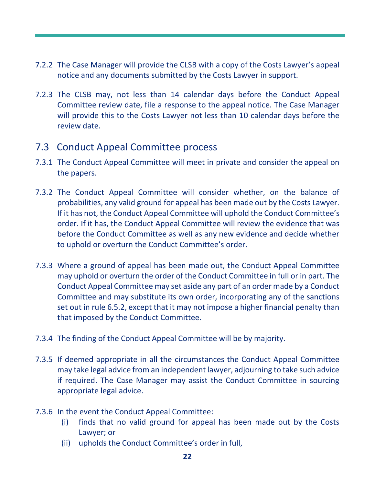- 7.2.2 The Case Manager will provide the CLSB with a copy of the Costs Lawyer's appeal notice and any documents submitted by the Costs Lawyer in support.
- 7.2.3 The CLSB may, not less than 14 calendar days before the Conduct Appeal Committee review date, file a response to the appeal notice. The Case Manager will provide this to the Costs Lawyer not less than 10 calendar days before the review date.

#### 7.3 Conduct Appeal Committee process

- 7.3.1 The Conduct Appeal Committee will meet in private and consider the appeal on the papers.
- 7.3.2 The Conduct Appeal Committee will consider whether, on the balance of probabilities, any valid ground for appeal has been made out by the Costs Lawyer. If it has not, the Conduct Appeal Committee will uphold the Conduct Committee's order. If it has, the Conduct Appeal Committee will review the evidence that was before the Conduct Committee as well as any new evidence and decide whether to uphold or overturn the Conduct Committee's order.
- 7.3.3 Where a ground of appeal has been made out, the Conduct Appeal Committee may uphold or overturn the order of the Conduct Committee in full or in part. The Conduct Appeal Committee may set aside any part of an order made by a Conduct Committee and may substitute its own order, incorporating any of the sanctions set out in rule 6.5.2, except that it may not impose a higher financial penalty than that imposed by the Conduct Committee.
- 7.3.4 The finding of the Conduct Appeal Committee will be by majority.
- 7.3.5 If deemed appropriate in all the circumstances the Conduct Appeal Committee may take legal advice from an independent lawyer, adjourning to take such advice if required. The Case Manager may assist the Conduct Committee in sourcing appropriate legal advice.
- 7.3.6 In the event the Conduct Appeal Committee:
	- (i) finds that no valid ground for appeal has been made out by the Costs Lawyer; or
	- (ii) upholds the Conduct Committee's order in full,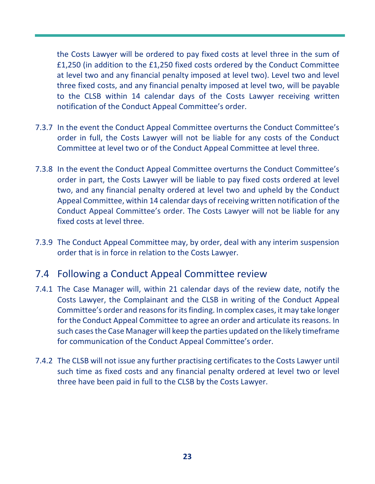the Costs Lawyer will be ordered to pay fixed costs at level three in the sum of £1,250 (in addition to the £1,250 fixed costs ordered by the Conduct Committee at level two and any financial penalty imposed at level two). Level two and level three fixed costs, and any financial penalty imposed at level two, will be payable to the CLSB within 14 calendar days of the Costs Lawyer receiving written notification of the Conduct Appeal Committee's order.

- 7.3.7 In the event the Conduct Appeal Committee overturns the Conduct Committee's order in full, the Costs Lawyer will not be liable for any costs of the Conduct Committee at level two or of the Conduct Appeal Committee at level three.
- 7.3.8 In the event the Conduct Appeal Committee overturns the Conduct Committee's order in part, the Costs Lawyer will be liable to pay fixed costs ordered at level two, and any financial penalty ordered at level two and upheld by the Conduct Appeal Committee, within 14 calendar days of receiving written notification of the Conduct Appeal Committee's order. The Costs Lawyer will not be liable for any fixed costs at level three.
- 7.3.9 The Conduct Appeal Committee may, by order, deal with any interim suspension order that is in force in relation to the Costs Lawyer.

#### 7.4 Following a Conduct Appeal Committee review

- 7.4.1 The Case Manager will, within 21 calendar days of the review date, notify the Costs Lawyer, the Complainant and the CLSB in writing of the Conduct Appeal Committee's order and reasons for its finding. In complex cases, it may take longer for the Conduct Appeal Committee to agree an order and articulate its reasons. In such cases the Case Manager will keep the parties updated on the likely timeframe for communication of the Conduct Appeal Committee's order.
- 7.4.2 The CLSB will not issue any further practising certificates to the Costs Lawyer until such time as fixed costs and any financial penalty ordered at level two or level three have been paid in full to the CLSB by the Costs Lawyer.